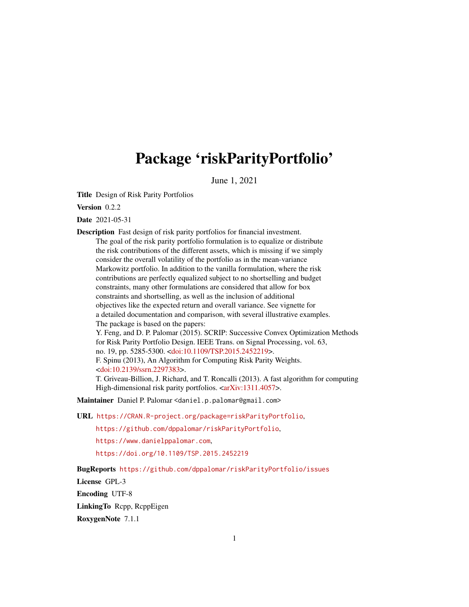## Package 'riskParityPortfolio'

June 1, 2021

Title Design of Risk Parity Portfolios

Version 0.2.2

Date 2021-05-31

Description Fast design of risk parity portfolios for financial investment. The goal of the risk parity portfolio formulation is to equalize or distribute the risk contributions of the different assets, which is missing if we simply consider the overall volatility of the portfolio as in the mean-variance Markowitz portfolio. In addition to the vanilla formulation, where the risk contributions are perfectly equalized subject to no shortselling and budget constraints, many other formulations are considered that allow for box constraints and shortselling, as well as the inclusion of additional objectives like the expected return and overall variance. See vignette for a detailed documentation and comparison, with several illustrative examples. The package is based on the papers: Y. Feng, and D. P. Palomar (2015). SCRIP: Successive Convex Optimization Methods for Risk Parity Portfolio Design. IEEE Trans. on Signal Processing, vol. 63, no. 19, pp. 5285-5300. [<doi:10.1109/TSP.2015.2452219>](https://doi.org/10.1109/TSP.2015.2452219). F. Spinu (2013), An Algorithm for Computing Risk Parity Weights. [<doi:10.2139/ssrn.2297383>](https://doi.org/10.2139/ssrn.2297383). T. Griveau-Billion, J. Richard, and T. Roncalli (2013). A fast algorithm for computing High-dimensional risk parity portfolios. [<arXiv:1311.4057>](https://arxiv.org/abs/1311.4057).

Maintainer Daniel P. Palomar <daniel.p.palomar@gmail.com>

URL <https://CRAN.R-project.org/package=riskParityPortfolio>,

<https://github.com/dppalomar/riskParityPortfolio>,

<https://www.danielppalomar.com>,

<https://doi.org/10.1109/TSP.2015.2452219>

BugReports <https://github.com/dppalomar/riskParityPortfolio/issues>

License GPL-3

Encoding UTF-8

LinkingTo Rcpp, RcppEigen

RoxygenNote 7.1.1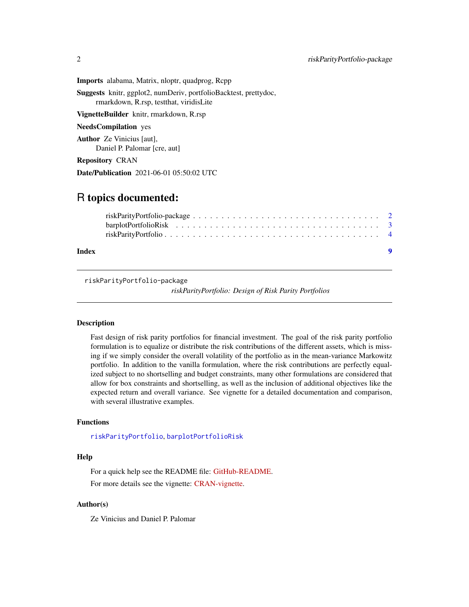<span id="page-1-0"></span>Imports alabama, Matrix, nloptr, quadprog, Rcpp

Suggests knitr, ggplot2, numDeriv, portfolioBacktest, prettydoc, rmarkdown, R.rsp, testthat, viridisLite

VignetteBuilder knitr, rmarkdown, R.rsp

NeedsCompilation yes

Author Ze Vinicius [aut], Daniel P. Palomar [cre, aut]

Repository CRAN

Date/Publication 2021-06-01 05:50:02 UTC

### R topics documented:

| Index |  |  |  |  |  |  |  |  |  |  |  |  |  |  | $\blacksquare$ |  |
|-------|--|--|--|--|--|--|--|--|--|--|--|--|--|--|----------------|--|
|       |  |  |  |  |  |  |  |  |  |  |  |  |  |  |                |  |
|       |  |  |  |  |  |  |  |  |  |  |  |  |  |  |                |  |

riskParityPortfolio-package

*riskParityPortfolio: Design of Risk Parity Portfolios*

#### Description

Fast design of risk parity portfolios for financial investment. The goal of the risk parity portfolio formulation is to equalize or distribute the risk contributions of the different assets, which is missing if we simply consider the overall volatility of the portfolio as in the mean-variance Markowitz portfolio. In addition to the vanilla formulation, where the risk contributions are perfectly equalized subject to no shortselling and budget constraints, many other formulations are considered that allow for box constraints and shortselling, as well as the inclusion of additional objectives like the expected return and overall variance. See vignette for a detailed documentation and comparison, with several illustrative examples.

#### Functions

[riskParityPortfolio](#page-3-1), [barplotPortfolioRisk](#page-2-1)

#### Help

For a quick help see the README file: [GitHub-README.](https://github.com/dppalomar/riskParityPortfolio/blob/master/README.md) For more details see the vignette: [CRAN-vignette.](https://CRAN.R-project.org/package=riskParityPortfolio/vignettes/RiskParityPortfolio.html)

#### Author(s)

Ze Vinicius and Daniel P. Palomar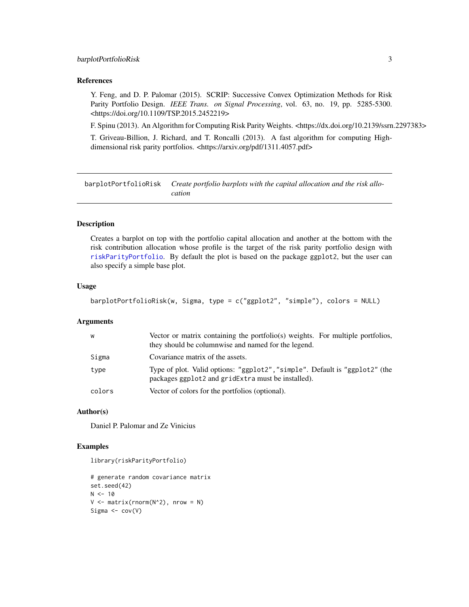#### <span id="page-2-0"></span>barplotPortfolioRisk 3

#### References

Y. Feng, and D. P. Palomar (2015). SCRIP: Successive Convex Optimization Methods for Risk Parity Portfolio Design. *IEEE Trans. on Signal Processing*, vol. 63, no. 19, pp. 5285-5300. <https://doi.org/10.1109/TSP.2015.2452219>

F. Spinu (2013). An Algorithm for Computing Risk Parity Weights. <https://dx.doi.org/10.2139/ssrn.2297383>

T. Griveau-Billion, J. Richard, and T. Roncalli (2013). A fast algorithm for computing Highdimensional risk parity portfolios. <https://arxiv.org/pdf/1311.4057.pdf>

<span id="page-2-1"></span>barplotPortfolioRisk *Create portfolio barplots with the capital allocation and the risk allocation*

#### Description

Creates a barplot on top with the portfolio capital allocation and another at the bottom with the risk contribution allocation whose profile is the target of the risk parity portfolio design with [riskParityPortfolio](#page-3-1). By default the plot is based on the package ggplot2, but the user can also specify a simple base plot.

#### Usage

```
barplotPortfolioRisk(w, Sigma, type = c("ggplot2", "simple"), colors = NULL)
```
#### Arguments

| W      | Vector or matrix containing the portfolio(s) weights. For multiple portfolios,<br>they should be columnwise and named for the legend. |
|--------|---------------------------------------------------------------------------------------------------------------------------------------|
| Sigma  | Covariance matrix of the assets.                                                                                                      |
| type   | Type of plot. Valid options: "ggplot2", "simple". Default is "ggplot2" (the<br>packages ggplot2 and gridExtra must be installed).     |
| colors | Vector of colors for the portfolios (optional).                                                                                       |

#### Author(s)

Daniel P. Palomar and Ze Vinicius

#### Examples

```
library(riskParityPortfolio)
```

```
# generate random covariance matrix
set.seed(42)
N < -10V \le - matrix(rnorm(N^2), nrow = N)
Sigma \leq cov(V)
```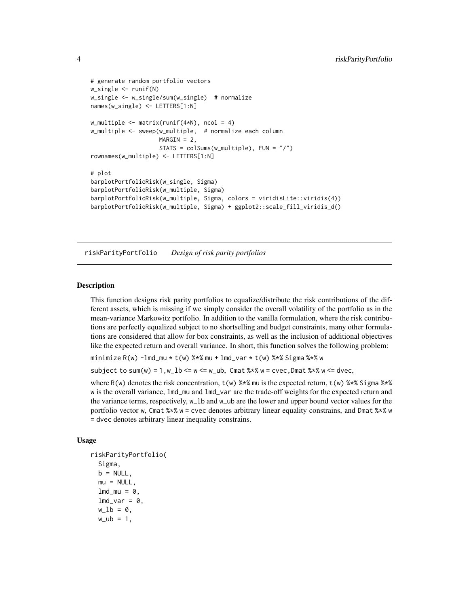```
# generate random portfolio vectors
w_single <- runif(N)
w_single <- w_single/sum(w_single) # normalize
names(w_single) <- LETTERS[1:N]
w_multiple \leq matrix(runif(4*N), ncol = 4)
w_multiple <- sweep(w_multiple, # normalize each column
                    MARGIN = 2,
                    STATS = colSums(w_multiple), FUN = "/")
rownames(w_multiple) <- LETTERS[1:N]
# plot
barplotPortfolioRisk(w_single, Sigma)
barplotPortfolioRisk(w_multiple, Sigma)
barplotPortfolioRisk(w_multiple, Sigma, colors = viridisLite::viridis(4))
barplotPortfolioRisk(w_multiple, Sigma) + ggplot2::scale_fill_viridis_d()
```
<span id="page-3-1"></span>riskParityPortfolio *Design of risk parity portfolios*

#### Description

This function designs risk parity portfolios to equalize/distribute the risk contributions of the different assets, which is missing if we simply consider the overall volatility of the portfolio as in the mean-variance Markowitz portfolio. In addition to the vanilla formulation, where the risk contributions are perfectly equalized subject to no shortselling and budget constraints, many other formulations are considered that allow for box constraints, as well as the inclusion of additional objectives like the expected return and overall variance. In short, this function solves the following problem:

minimize R(w) -lmd\_mu \* t(w) %\*% mu + lmd\_var \* t(w) %\*% Sigma %\*% w

subject to sum(w) =  $1$ , w\_lb <= w <= w\_ub, Cmat %\*% w = cvec, Dmat %\*% w <= dvec,

where R(w) denotes the risk concentration,  $t(w)$  %\*% mu is the expected return,  $t(w)$  %\*% Sigma %\*% w is the overall variance,  $lmd_mu$  and  $lmd_var$  are the trade-off weights for the expected return and the variance terms, respectively, w\_lb and w\_ub are the lower and upper bound vector values for the portfolio vector w, Cmat %\*% w = cvec denotes arbitrary linear equality constrains, and Dmat %\*% w = dvec denotes arbitrary linear inequality constrains.

#### Usage

```
riskParityPortfolio(
  Sigma,
 b = NULL,
 mu = NULL,lmd_mu = 0,
  lmd_var = 0,
 w_l = 0,
 w_ ub = 1,
```
<span id="page-3-0"></span>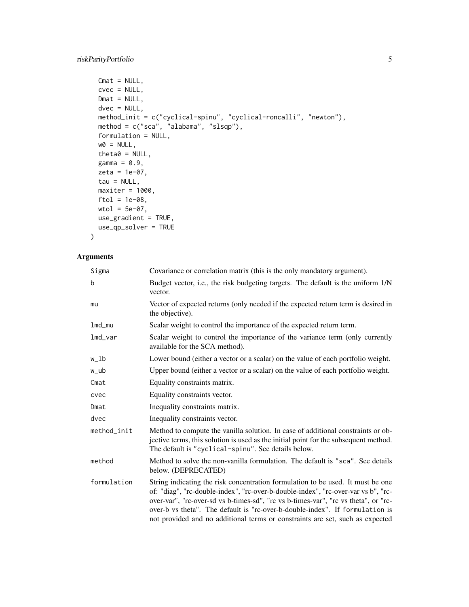```
Cmat = NULL,cvec = NULL,Dmat = NULL,dvec = NULL,method_init = c("cyclical-spinu", "cyclical-roncalli", "newton"),
method = c("sca", "alabama", "slsqp"),
formulation = NULL,
w0 = NULL,theta0 = NULL,gamma = 0.9,
zeta = 1e-07,
tau = NULL,maxiter = 1000,ftol = 1e-08,
wtol = 5e-07,
use_gradient = TRUE,
use_qp_solver = TRUE
```
#### Arguments

)

| Sigma       | Covariance or correlation matrix (this is the only mandatory argument).                                                                                                                                                                                                                                                                                                                                                     |
|-------------|-----------------------------------------------------------------------------------------------------------------------------------------------------------------------------------------------------------------------------------------------------------------------------------------------------------------------------------------------------------------------------------------------------------------------------|
| b           | Budget vector, i.e., the risk budgeting targets. The default is the uniform 1/N<br>vector.                                                                                                                                                                                                                                                                                                                                  |
| mu          | Vector of expected returns (only needed if the expected return term is desired in<br>the objective).                                                                                                                                                                                                                                                                                                                        |
| lmd_mu      | Scalar weight to control the importance of the expected return term.                                                                                                                                                                                                                                                                                                                                                        |
| $lmd_Var$   | Scalar weight to control the importance of the variance term (only currently<br>available for the SCA method).                                                                                                                                                                                                                                                                                                              |
| w_lb        | Lower bound (either a vector or a scalar) on the value of each portfolio weight.                                                                                                                                                                                                                                                                                                                                            |
| w_ub        | Upper bound (either a vector or a scalar) on the value of each portfolio weight.                                                                                                                                                                                                                                                                                                                                            |
| Cmat        | Equality constraints matrix.                                                                                                                                                                                                                                                                                                                                                                                                |
| cvec        | Equality constraints vector.                                                                                                                                                                                                                                                                                                                                                                                                |
| Dmat        | Inequality constraints matrix.                                                                                                                                                                                                                                                                                                                                                                                              |
| dvec        | Inequality constraints vector.                                                                                                                                                                                                                                                                                                                                                                                              |
| method init | Method to compute the vanilla solution. In case of additional constraints or ob-<br>jective terms, this solution is used as the initial point for the subsequent method.<br>The default is "cyclical-spinu". See details below.                                                                                                                                                                                             |
| method      | Method to solve the non-vanilla formulation. The default is "sca". See details<br>below. (DEPRECATED)                                                                                                                                                                                                                                                                                                                       |
| formulation | String indicating the risk concentration formulation to be used. It must be one<br>of: "diag", "rc-double-index", "rc-over-b-double-index", "rc-over-var vs b", "rc-<br>over-var", "rc-over-sd vs b-times-sd", "rc vs b-times-var", "rc vs theta", or "rc-<br>over-b vs theta". The default is "rc-over-b-double-index". If formulation is<br>not provided and no additional terms or constraints are set, such as expected |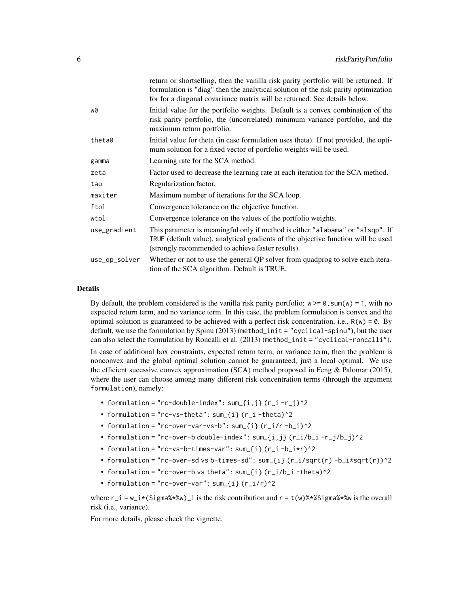|               | return or shortselling, then the vanilla risk parity portfolio will be returned. If<br>formulation is "diag" then the analytical solution of the risk parity optimization<br>for for a diagonal covariance matrix will be returned. See details below. |
|---------------|--------------------------------------------------------------------------------------------------------------------------------------------------------------------------------------------------------------------------------------------------------|
| w0            | Initial value for the portfolio weights. Default is a convex combination of the<br>risk parity portfolio, the (uncorrelated) minimum variance portfolio, and the<br>maximum return portfolio.                                                          |
| theta0        | Initial value for theta (in case formulation uses theta). If not provided, the opti-<br>mum solution for a fixed vector of portfolio weights will be used.                                                                                             |
| gamma         | Learning rate for the SCA method.                                                                                                                                                                                                                      |
| zeta          | Factor used to decrease the learning rate at each iteration for the SCA method.                                                                                                                                                                        |
| tau           | Regularization factor.                                                                                                                                                                                                                                 |
| maxiter       | Maximum number of iterations for the SCA loop.                                                                                                                                                                                                         |
| ftol          | Convergence tolerance on the objective function.                                                                                                                                                                                                       |
| wtol          | Convergence tolerance on the values of the portfolio weights.                                                                                                                                                                                          |
| use_gradient  | This parameter is meaningful only if method is either "alabama" or "slsqp". If<br>TRUE (default value), analytical gradients of the objective function will be used<br>(strongly recommended to achieve faster results).                               |
| use_qp_solver | Whether or not to use the general QP solver from quadprog to solve each itera-<br>tion of the SCA algorithm. Default is TRUE.                                                                                                                          |

#### Details

By default, the problem considered is the vanilla risk parity portfolio:  $w \ge 0$ , sum(w) = 1, with no expected return term, and no variance term. In this case, the problem formulation is convex and the optimal solution is guaranteed to be achieved with a perfect risk concentration, i.e.,  $R(w) = 0$ . By default, we use the formulation by Spinu (2013) (method\_init = "cyclical-spinu"), but the user can also select the formulation by Roncalli et al. (2013) (method\_init = "cyclical-roncalli").

In case of additional box constraints, expected return term, or variance term, then the problem is nonconvex and the global optimal solution cannot be guaranteed, just a local optimal. We use the efficient sucessive convex approximation (SCA) method proposed in Feng & Palomar (2015), where the user can choose among many different risk concentration terms (through the argument formulation), namely:

- formulation = "rc-double-index":  $sum_{i,j} (r_i r_j)^2$
- formulation = "rc-vs-theta":  $sum_{i}$  (r\_i -theta)^2
- formulation = "rc-over-var-vs-b":  $sum_{i}$  (r\_i/r -b\_i)^2
- formulation = "rc-over-b double-index":  $sum_{i,j} (r_i/b_i r_j/b_j)^2$
- formulation = "rc-vs-b-times-var":  $sum_{i}$  (r\_i -b\_i\*r)^2
- formulation = "rc-over-sd vs b-times-sd": sum\_{i} (r\_i/sqrt(r) -b\_i\*sqrt(r))^2
- formulation = "rc-over-b vs theta":  $sum_{i}$  (r\_i/b\_i -theta)^2
- formulation = "rc-over-var":  $sum_{i}$  (r\_i/r)^2

where  $r_i = w_i * (Sigma* * w_i)$  is the risk contribution and  $r = t(w) * * Sigma* * w$  is the overall risk (i.e., variance).

For more details, please check the vignette.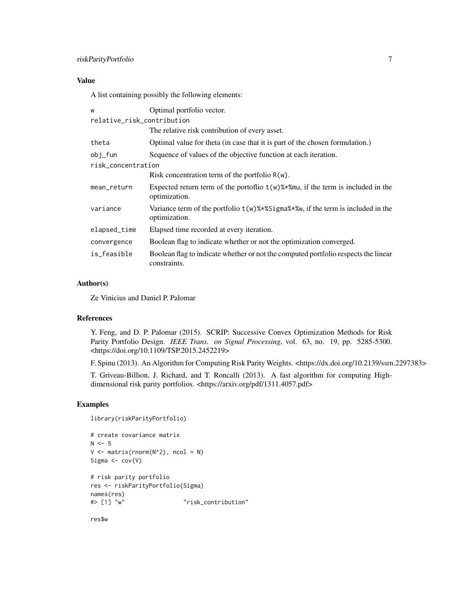#### Value

A list containing possibly the following elements:

| Optimal portfolio vector.<br>W                                                        |                                                                                                     |  |  |  |  |  |
|---------------------------------------------------------------------------------------|-----------------------------------------------------------------------------------------------------|--|--|--|--|--|
| relative_risk_contribution                                                            |                                                                                                     |  |  |  |  |  |
|                                                                                       | The relative risk contribution of every asset.                                                      |  |  |  |  |  |
| theta<br>Optimal value for theta (in case that it is part of the chosen formulation.) |                                                                                                     |  |  |  |  |  |
| Sequence of values of the objective function at each iteration.<br>obj_fun            |                                                                                                     |  |  |  |  |  |
| risk concentration                                                                    |                                                                                                     |  |  |  |  |  |
|                                                                                       | Risk concentration term of the portfolio $R(w)$ .                                                   |  |  |  |  |  |
| mean_return                                                                           | Expected return term of the portoflio $t(w)$ %*%mu, if the term is included in the<br>optimization. |  |  |  |  |  |
| variance                                                                              | Variance term of the portfolio $t(w)$ %*%Sigma%*%, if the term is included in the<br>optimization.  |  |  |  |  |  |
| elapsed_time                                                                          | Elapsed time recorded at every iteration.                                                           |  |  |  |  |  |
| convergence                                                                           | Boolean flag to indicate whether or not the optimization converged.                                 |  |  |  |  |  |
| is feasible                                                                           | Boolean flag to indicate whether or not the computed portfolio respects the linear<br>constraints.  |  |  |  |  |  |

#### Author(s)

Ze Vinicius and Daniel P. Palomar

#### References

Y. Feng, and D. P. Palomar (2015). SCRIP: Successive Convex Optimization Methods for Risk Parity Portfolio Design. *IEEE Trans. on Signal Processing*, vol. 63, no. 19, pp. 5285-5300. <https://doi.org/10.1109/TSP.2015.2452219>

F. Spinu (2013). An Algorithm for Computing Risk Parity Weights. <https://dx.doi.org/10.2139/ssrn.2297383>

T. Griveau-Billion, J. Richard, and T. Roncalli (2013). A fast algorithm for computing Highdimensional risk parity portfolios. <https://arxiv.org/pdf/1311.4057.pdf>

#### Examples

```
library(riskParityPortfolio)
```

```
# create covariance matrix
N < -5V \leq - matrix(rnorm(N^2), ncol = N)
Sigma \leftarrow cov(V)# risk parity portfolio
res <- riskParityPortfolio(Sigma)
names(res)
#> [1] "w" "risk_contribution"
```
res\$w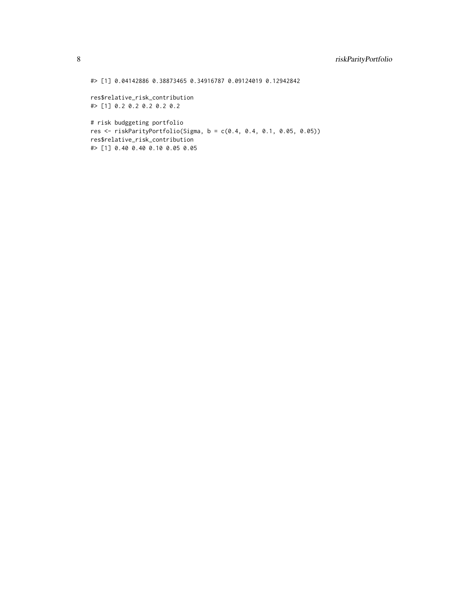#> [1] 0.04142886 0.38873465 0.34916787 0.09124019 0.12942842

res\$relative\_risk\_contribution #> [1] 0.2 0.2 0.2 0.2 0.2

# risk budggeting portfolio res <- riskParityPortfolio(Sigma, b = c(0.4, 0.4, 0.1, 0.05, 0.05)) res\$relative\_risk\_contribution #> [1] 0.40 0.40 0.10 0.05 0.05